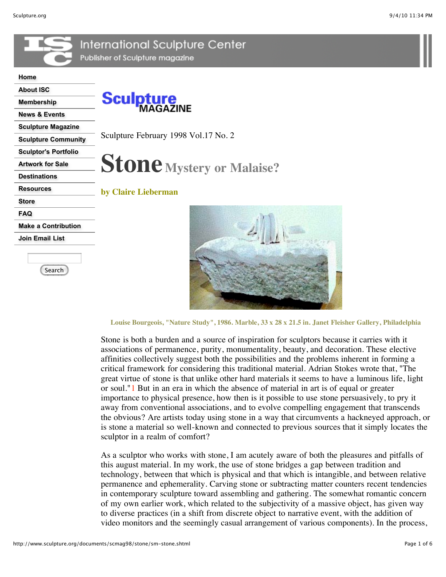



**Louise Bourgeois, "Nature Study", 1986. Marble, 33 x 28 x 21.5 in. Janet Fleisher Gallery, Philadelphia**

Stone is both a burden and a source of inspiration for sculptors because it carries with it associations of permanence, purity, monumentality, beauty, and decoration. These elective affinities collectively suggest both the possibilities and the problems inherent in forming a critical framework for considering this traditional material. Adrian Stokes wrote that, "The great virtue of stone is that unlike other hard materials it seems to have a luminous life, light or soul."1 But in an era in which the absence of material in art is of equal or greater importance to physical presence, how then is it possible to use stone persuasively, to pry it away from conventional associations, and to evolve compelling engagement that transcends the obvious? Are artists today using stone in a way that circumvents a hackneyed approach, or is stone a material so well-known and connected to previous sources that it simply locates the sculptor in a realm of comfort?

As a sculptor who works with stone, I am acutely aware of both the pleasures and pitfalls of this august material. In my work, the use of stone bridges a gap between tradition and technology, between that which is physical and that which is intangible, and between relative permanence and ephemerality. Carving stone or subtracting matter counters recent tendencies in contemporary sculpture toward assembling and gathering. The somewhat romantic concern of my own earlier work, which related to the subjectivity of a massive object, has given way to diverse practices (in a shift from discrete object to narrative event, with the addition of video monitors and the seemingly casual arrangement of various components). In the process,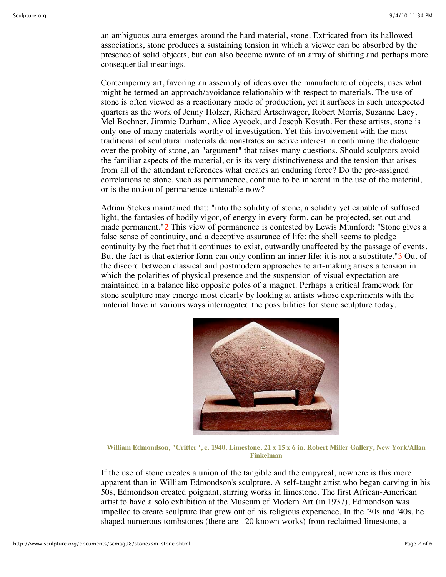an ambiguous aura emerges around the hard material, stone. Extricated from its hallowed associations, stone produces a sustaining tension in which a viewer can be absorbed by the presence of solid objects, but can also become aware of an array of shifting and perhaps more consequential meanings.

Contemporary art, favoring an assembly of ideas over the manufacture of objects, uses what might be termed an approach/avoidance relationship with respect to materials. The use of stone is often viewed as a reactionary mode of production, yet it surfaces in such unexpected quarters as the work of Jenny Holzer, Richard Artschwager, Robert Morris, Suzanne Lacy, Mel Bochner, Jimmie Durham, Alice Aycock, and Joseph Kosuth. For these artists, stone is only one of many materials worthy of investigation. Yet this involvement with the most traditional of sculptural materials demonstrates an active interest in continuing the dialogue over the probity of stone, an "argument" that raises many questions. Should sculptors avoid the familiar aspects of the material, or is its very distinctiveness and the tension that arises from all of the attendant references what creates an enduring force? Do the pre-assigned correlations to stone, such as permanence, continue to be inherent in the use of the material, or is the notion of permanence untenable now?

Adrian Stokes maintained that: "into the solidity of stone, a solidity yet capable of suffused light, the fantasies of bodily vigor, of energy in every form, can be projected, set out and made permanent."2 This view of permanence is contested by Lewis Mumford: "Stone gives a false sense of continuity, and a deceptive assurance of life: the shell seems to pledge continuity by the fact that it continues to exist, outwardly unaffected by the passage of events. But the fact is that exterior form can only confirm an inner life: it is not a substitute."3 Out of the discord between classical and postmodern approaches to art-making arises a tension in which the polarities of physical presence and the suspension of visual expectation are maintained in a balance like opposite poles of a magnet. Perhaps a critical framework for stone sculpture may emerge most clearly by looking at artists whose experiments with the material have in various ways interrogated the possibilities for stone sculpture today.



**William Edmondson, "Critter", c. 1940. Limestone, 21 x 15 x 6 in. Robert Miller Gallery, New York/Allan Finkelman**

If the use of stone creates a union of the tangible and the empyreal, nowhere is this more apparent than in William Edmondson's sculpture. A self-taught artist who began carving in his 50s, Edmondson created poignant, stirring works in limestone. The first African-American artist to have a solo exhibition at the Museum of Modern Art (in 1937), Edmondson was impelled to create sculpture that grew out of his religious experience. In the '30s and '40s, he shaped numerous tombstones (there are 120 known works) from reclaimed limestone, a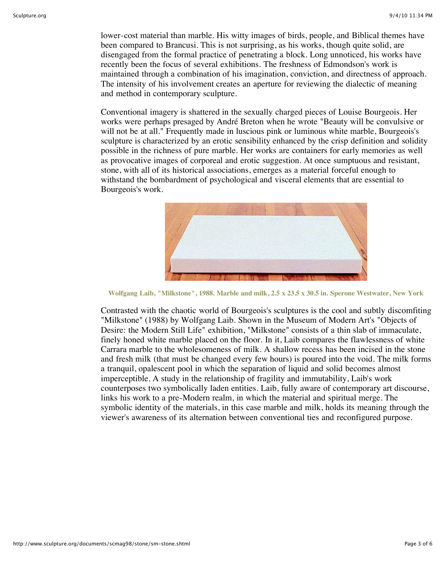lower-cost material than marble. His witty images of birds, people, and Biblical themes have been compared to Brancusi. This is not surprising, as his works, though quite solid, are disengaged from the formal practice of penetrating a block. Long unnoticed, his works have recently been the focus of several exhibitions. The freshness of Edmondson's work is maintained through a combination of his imagination, conviction, and directness of approach. The intensity of his involvement creates an aperture for reviewing the dialectic of meaning and method in contemporary sculpture.

Conventional imagery is shattered in the sexually charged pieces of Louise Bourgeois. Her works were perhaps presaged by André Breton when he wrote "Beauty will be convulsive or will not be at all." Frequently made in luscious pink or luminous white marble, Bourgeois's sculpture is characterized by an erotic sensibility enhanced by the crisp definition and solidity possible in the richness of pure marble. Her works are containers for early memories as well as provocative images of corporeal and erotic suggestion. At once sumptuous and resistant, stone, with all of its historical associations, emerges as a material forceful enough to withstand the bombardment of psychological and visceral elements that are essential to Bourgeois's work.



**Wolfgang Laib, "Milkstone", 1988. Marble and milk, 2.5 x 23.5 x 30.5 in. Sperone Westwater, New York**

Contrasted with the chaotic world of Bourgeois's sculptures is the cool and subtly discomfiting "Milkstone" (1988) by Wolfgang Laib. Shown in the Museum of Modern Art's "Objects of Desire: the Modern Still Life" exhibition, "Milkstone" consists of a thin slab of immaculate, finely honed white marble placed on the floor. In it, Laib compares the flawlessness of white Carrara marble to the wholesomeness of milk. A shallow recess has been incised in the stone and fresh milk (that must be changed every few hours) is poured into the void. The milk forms a tranquil, opalescent pool in which the separation of liquid and solid becomes almost imperceptible. A study in the relationship of fragility and immutability, Laib's work counterposes two symbolically laden entities. Laib, fully aware of contemporary art discourse, links his work to a pre-Modern realm, in which the material and spiritual merge. The symbolic identity of the materials, in this case marble and milk, holds its meaning through the viewer's awareness of its alternation between conventional ties and reconfigured purpose.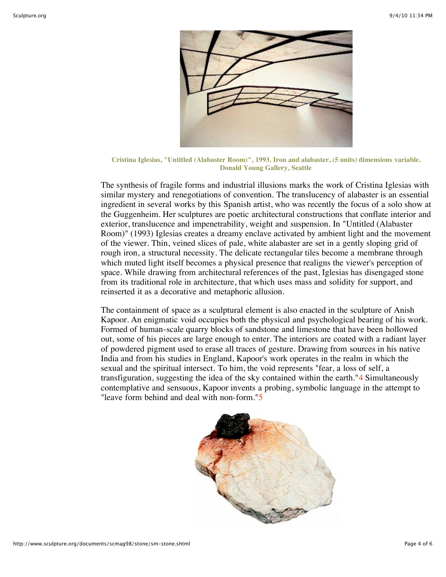

**Cristina Iglesias, "Untitled (Alabaster Room)", 1993. Iron and alabaster, (5 units) dimensions variable. Donald Young Gallery, Seattle**

The synthesis of fragile forms and industrial illusions marks the work of Cristina Iglesias with similar mystery and renegotiations of convention. The translucency of alabaster is an essential ingredient in several works by this Spanish artist, who was recently the focus of a solo show at the Guggenheim. Her sculptures are poetic architectural constructions that conflate interior and exterior, translucence and impenetrability, weight and suspension. In "Untitled (Alabaster Room)" (1993) Iglesias creates a dreamy enclave activated by ambient light and the movement of the viewer. Thin, veined slices of pale, white alabaster are set in a gently sloping grid of rough iron, a structural necessity. The delicate rectangular tiles become a membrane through which muted light itself becomes a physical presence that realigns the viewer's perception of space. While drawing from architectural references of the past, Iglesias has disengaged stone from its traditional role in architecture, that which uses mass and solidity for support, and reinserted it as a decorative and metaphoric allusion.

The containment of space as a sculptural element is also enacted in the sculpture of Anish Kapoor. An enigmatic void occupies both the physical and psychological bearing of his work. Formed of human-scale quarry blocks of sandstone and limestone that have been hollowed out, some of his pieces are large enough to enter. The interiors are coated with a radiant layer of powdered pigment used to erase all traces of gesture. Drawing from sources in his native India and from his studies in England, Kapoor's work operates in the realm in which the sexual and the spiritual intersect. To him, the void represents "fear, a loss of self, a transfiguration, suggesting the idea of the sky contained within the earth."4 Simultaneously contemplative and sensuous, Kapoor invents a probing, symbolic language in the attempt to "leave form behind and deal with non-form."5

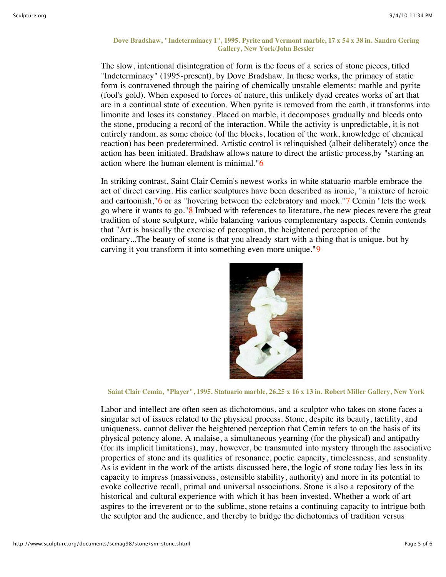## **Dove Bradshaw, "Indeterminacy I", 1995. Pyrite and Vermont marble, 17 x 54 x 38 in. Sandra Gering Gallery, New York/John Bessler**

The slow, intentional disintegration of form is the focus of a series of stone pieces, titled "Indeterminacy" (1995-present), by Dove Bradshaw. In these works, the primacy of static form is contravened through the pairing of chemically unstable elements: marble and pyrite (fool's gold). When exposed to forces of nature, this unlikely dyad creates works of art that are in a continual state of execution. When pyrite is removed from the earth, it transforms into limonite and loses its constancy. Placed on marble, it decomposes gradually and bleeds onto the stone, producing a record of the interaction. While the activity is unpredictable, it is not entirely random, as some choice (of the blocks, location of the work, knowledge of chemical reaction) has been predetermined. Artistic control is relinquished (albeit deliberately) once the action has been initiated. Bradshaw allows nature to direct the artistic process,by "starting an action where the human element is minimal."6

In striking contrast, Saint Clair Cemin's newest works in white statuario marble embrace the act of direct carving. His earlier sculptures have been described as ironic, "a mixture of heroic and cartoonish,"6 or as "hovering between the celebratory and mock."7 Cemin "lets the work go where it wants to go."8 Imbued with references to literature, the new pieces revere the great tradition of stone sculpture, while balancing various complementary aspects. Cemin contends that "Art is basically the exercise of perception, the heightened perception of the ordinary...The beauty of stone is that you already start with a thing that is unique, but by carving it you transform it into something even more unique."9



**Saint Clair Cemin, "Player", 1995. Statuario marble, 26.25 x 16 x 13 in. Robert Miller Gallery, New York**

Labor and intellect are often seen as dichotomous, and a sculptor who takes on stone faces a singular set of issues related to the physical process. Stone, despite its beauty, tactility, and uniqueness, cannot deliver the heightened perception that Cemin refers to on the basis of its physical potency alone. A malaise, a simultaneous yearning (for the physical) and antipathy (for its implicit limitations), may, however, be transmuted into mystery through the associative properties of stone and its qualities of resonance, poetic capacity, timelessness, and sensuality. As is evident in the work of the artists discussed here, the logic of stone today lies less in its capacity to impress (massiveness, ostensible stability, authority) and more in its potential to evoke collective recall, primal and universal associations. Stone is also a repository of the historical and cultural experience with which it has been invested. Whether a work of art aspires to the irreverent or to the sublime, stone retains a continuing capacity to intrigue both the sculptor and the audience, and thereby to bridge the dichotomies of tradition versus